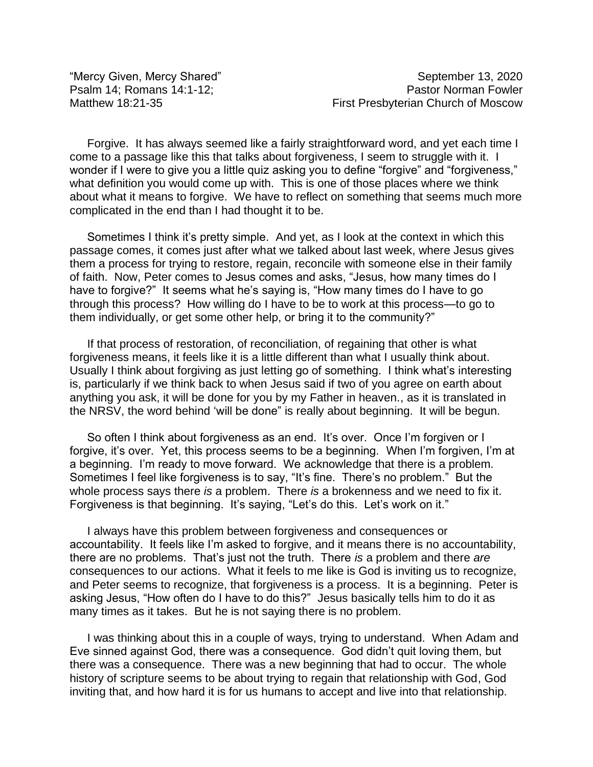"Mercy Given, Mercy Shared" September 13, 2020 Psalm 14; Romans 14:1-12; Pastor Norman Fowler Matthew 18:21-35 **Matthew 18:21-35** First Presbyterian Church of Moscow

Forgive. It has always seemed like a fairly straightforward word, and yet each time I come to a passage like this that talks about forgiveness, I seem to struggle with it. I wonder if I were to give you a little quiz asking you to define "forgive" and "forgiveness," what definition you would come up with. This is one of those places where we think about what it means to forgive. We have to reflect on something that seems much more complicated in the end than I had thought it to be.

Sometimes I think it's pretty simple. And yet, as I look at the context in which this passage comes, it comes just after what we talked about last week, where Jesus gives them a process for trying to restore, regain, reconcile with someone else in their family of faith. Now, Peter comes to Jesus comes and asks, "Jesus, how many times do I have to forgive?" It seems what he's saying is, "How many times do I have to go through this process? How willing do I have to be to work at this process—to go to them individually, or get some other help, or bring it to the community?"

If that process of restoration, of reconciliation, of regaining that other is what forgiveness means, it feels like it is a little different than what I usually think about. Usually I think about forgiving as just letting go of something. I think what's interesting is, particularly if we think back to when Jesus said if two of you agree on earth about anything you ask, it will be done for you by my Father in heaven., as it is translated in the NRSV, the word behind 'will be done" is really about beginning. It will be begun.

So often I think about forgiveness as an end. It's over. Once I'm forgiven or I forgive, it's over. Yet, this process seems to be a beginning. When I'm forgiven, I'm at a beginning. I'm ready to move forward. We acknowledge that there is a problem. Sometimes I feel like forgiveness is to say, "It's fine. There's no problem." But the whole process says there *is* a problem. There *is* a brokenness and we need to fix it. Forgiveness is that beginning. It's saying, "Let's do this. Let's work on it."

I always have this problem between forgiveness and consequences or accountability. It feels like I'm asked to forgive, and it means there is no accountability, there are no problems. That's just not the truth. There *is* a problem and there *are* consequences to our actions. What it feels to me like is God is inviting us to recognize, and Peter seems to recognize, that forgiveness is a process. It is a beginning. Peter is asking Jesus, "How often do I have to do this?" Jesus basically tells him to do it as many times as it takes. But he is not saying there is no problem.

I was thinking about this in a couple of ways, trying to understand. When Adam and Eve sinned against God, there was a consequence. God didn't quit loving them, but there was a consequence. There was a new beginning that had to occur. The whole history of scripture seems to be about trying to regain that relationship with God, God inviting that, and how hard it is for us humans to accept and live into that relationship.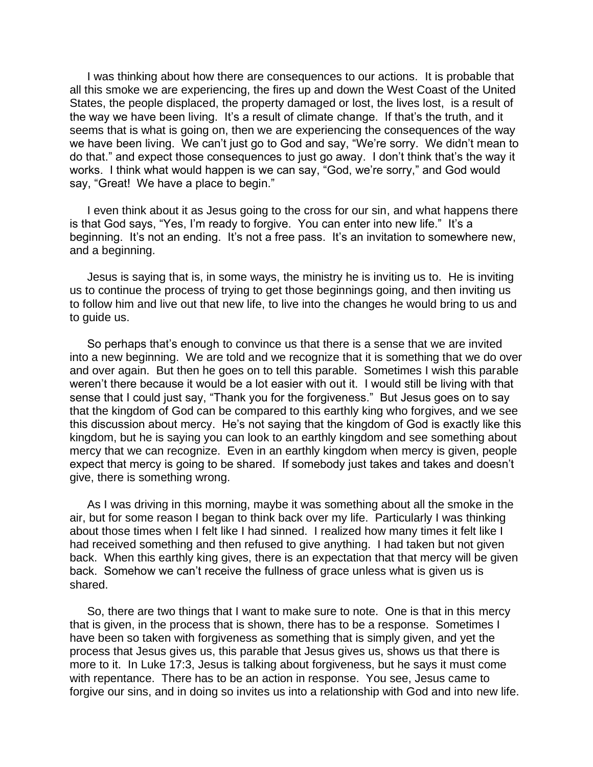I was thinking about how there are consequences to our actions. It is probable that all this smoke we are experiencing, the fires up and down the West Coast of the United States, the people displaced, the property damaged or lost, the lives lost, is a result of the way we have been living. It's a result of climate change. If that's the truth, and it seems that is what is going on, then we are experiencing the consequences of the way we have been living. We can't just go to God and say, "We're sorry. We didn't mean to do that." and expect those consequences to just go away. I don't think that's the way it works. I think what would happen is we can say, "God, we're sorry," and God would say, "Great! We have a place to begin."

I even think about it as Jesus going to the cross for our sin, and what happens there is that God says, "Yes, I'm ready to forgive. You can enter into new life." It's a beginning. It's not an ending. It's not a free pass. It's an invitation to somewhere new, and a beginning.

Jesus is saying that is, in some ways, the ministry he is inviting us to. He is inviting us to continue the process of trying to get those beginnings going, and then inviting us to follow him and live out that new life, to live into the changes he would bring to us and to guide us.

So perhaps that's enough to convince us that there is a sense that we are invited into a new beginning. We are told and we recognize that it is something that we do over and over again. But then he goes on to tell this parable. Sometimes I wish this parable weren't there because it would be a lot easier with out it. I would still be living with that sense that I could just say, "Thank you for the forgiveness." But Jesus goes on to say that the kingdom of God can be compared to this earthly king who forgives, and we see this discussion about mercy. He's not saying that the kingdom of God is exactly like this kingdom, but he is saying you can look to an earthly kingdom and see something about mercy that we can recognize. Even in an earthly kingdom when mercy is given, people expect that mercy is going to be shared. If somebody just takes and takes and doesn't give, there is something wrong.

As I was driving in this morning, maybe it was something about all the smoke in the air, but for some reason I began to think back over my life. Particularly I was thinking about those times when I felt like I had sinned. I realized how many times it felt like I had received something and then refused to give anything. I had taken but not given back. When this earthly king gives, there is an expectation that that mercy will be given back. Somehow we can't receive the fullness of grace unless what is given us is shared.

So, there are two things that I want to make sure to note. One is that in this mercy that is given, in the process that is shown, there has to be a response. Sometimes I have been so taken with forgiveness as something that is simply given, and yet the process that Jesus gives us, this parable that Jesus gives us, shows us that there is more to it. In Luke 17:3, Jesus is talking about forgiveness, but he says it must come with repentance. There has to be an action in response. You see, Jesus came to forgive our sins, and in doing so invites us into a relationship with God and into new life.